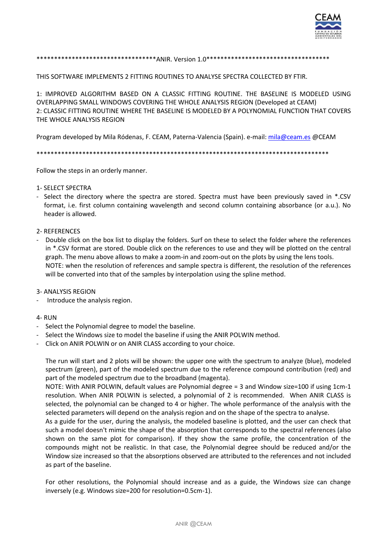

# \*\*\*\*\*\*\*\*\*\*\*\*\*\*\*\*\*\*\*\*\*\*\*\*\*\*\*\*\*\*\*\*\*\*\*ANIR. Version 1.0\*\*\*\*\*\*\*\*\*\*\*\*\*\*\*\*\*\*\*\*\*\*\*\*\*\*\*\*\*\*\*\*\*\*

THIS SOFTWARE IMPLEMENTS 2 FITTING ROUTINES TO ANALYSE SPECTRA COLLECTED BY FTIR.

1: IMPROVED ALGORITHM BASED ON A CLASSIC FITTING ROUTINE. THE BASELINE IS MODELED USING OVERLAPPING SMALL WINDOWS COVERING THE WHOLE ANALYSIS REGION (Developed at CEAM) 2: CLASSIC FITTING ROUTINE WHERE THE BASELINE IS MODELED BY A POLYNOMIAL FUNCTION THAT COVERS THE WHOLE ANALYSIS REGION

Program developed by Mila Ródenas, F. CEAM, Paterna-Valencia (Spain). e-mail: mila@ceam.es @CEAM

Follow the steps in an orderly manner.

### **1- SELECT SPECTRA**

- Select the directory where the spectra are stored. Spectra must have been previously saved in \*.CSV format, i.e. first column containing wavelength and second column containing absorbance (or a.u.). No header is allowed.

### 2- REFERENCES

- Double click on the box list to display the folders. Surf on these to select the folder where the references in \*.CSV format are stored. Double click on the references to use and they will be plotted on the central graph. The menu above allows to make a zoom-in and zoom-out on the plots by using the lens tools. NOTE: when the resolution of references and sample spectra is different, the resolution of the references will be converted into that of the samples by interpolation using the spline method.

## **3- ANALYSIS REGION**

Introduce the analysis region.

#### 4-RUN

- Select the Polynomial degree to model the baseline.
- Select the Windows size to model the baseline if using the ANIR POLWIN method.
- Click on ANIR POLWIN or on ANIR CLASS according to your choice.

The run will start and 2 plots will be shown: the upper one with the spectrum to analyze (blue), modeled spectrum (green), part of the modeled spectrum due to the reference compound contribution (red) and part of the modeled spectrum due to the broadband (magenta).

NOTE: With ANIR POLWIN, default values are Polynomial degree = 3 and Window size=100 if using 1cm-1 resolution. When ANIR POLWIN is selected, a polynomial of 2 is recommended. When ANIR CLASS is selected, the polynomial can be changed to 4 or higher. The whole performance of the analysis with the selected parameters will depend on the analysis region and on the shape of the spectra to analyse.

As a guide for the user, during the analysis, the modeled baseline is plotted, and the user can check that such a model doesn't mimic the shape of the absorption that corresponds to the spectral references (also shown on the same plot for comparison). If they show the same profile, the concentration of the compounds might not be realistic. In that case, the Polynomial degree should be reduced and/or the Window size increased so that the absorptions observed are attributed to the references and not included as part of the baseline.

For other resolutions, the Polynomial should increase and as a guide, the Windows size can change inversely (e.g. Windows size=200 for resolution=0.5cm-1).